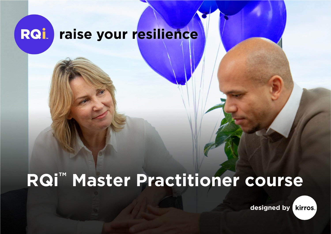### RQİ raise your resilience

# **RQi™ Master Practitioner course**

designed by kirros.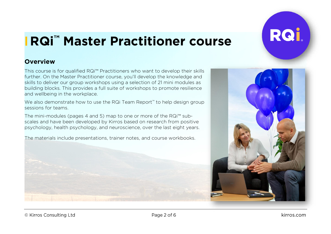

# **RQi™ Master Practitioner course**

#### **Overview**

This course is for qualified RQi™ Practitioners who want to develop their skills further. On the Master Practitioner course, you'll develop the knowledge and skills to deliver our group workshops using a selection of 21 mini modules as building blocks. This provides a full suite of workshops to promote resilience and wellbeing in the workplace.

We also demonstrate how to use the RQi Team Report<sup>™</sup> to help design group sessions for teams.

The mini-modules (pages 4 and 5) map to one or more of the RQi™ subscales and have been developed by Kirros based on research from positive psychology, health psychology, and neuroscience, over the last eight years.

The materials include presentations, trainer notes, and course workbooks.



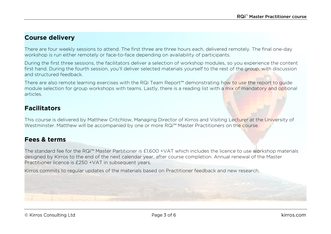#### **Course delivery**

There are four weekly sessions to attend. The first three are three hours each, delivered remotely. The final one-day workshop is run either remotely or face-to-face depending on availability of participants.

During the first three sessions, the facilitators deliver a selection of workshop modules, so you experience the content first hand. During the fourth session, you'll deliver selected materials yourself to the rest of the group, with discussion and structured feedback.

There are also remote learning exercises with the RQi Team Report™ demonstrating how to use the report to guide module selection for group workshops with teams. Lastly, there is a reading list with a mix of mandatory and optional articles.

#### **Facilitators**

This course is delivered by Matthew Critchlow, Managing Director of Kirros and Visiting Lecturer at the University of Westminster. Matthew will be accompanied by one or more RQi™ Master Practitioners on the course.

#### **Fees & terms**

The standard fee for the RQi™ Master Partitioner is £1,600 +VAT which includes the licence to use workshop materials designed by Kirros to the end of the next calendar year, after course completion. Annual renewal of the Master Practitioner licence is £250 +VAT in subsequent years.

Kirros commits to regular updates of the materials based on Practitioner feedback and new research.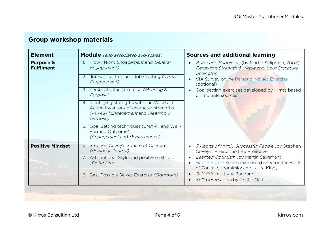| <b>Element</b>                            | <b>Module</b> (and associated sub-scales)                                                                                                                                                                                                                                                                                                                                                                          | <b>Sources and additional learning</b>                                                                                                                                                                                                                                                      |
|-------------------------------------------|--------------------------------------------------------------------------------------------------------------------------------------------------------------------------------------------------------------------------------------------------------------------------------------------------------------------------------------------------------------------------------------------------------------------|---------------------------------------------------------------------------------------------------------------------------------------------------------------------------------------------------------------------------------------------------------------------------------------------|
| <b>Purpose &amp;</b><br><b>Fulfilment</b> | Flow (Work Engagement and General<br>Engagement)<br>2. Job satisfaction and Job Crafting (Work<br>Engagement)<br>3. Personal values exercise (Meaning &<br>Purpose)<br>4. Identifying strengths with the Values In<br>Action Inventory of character strengths<br>(VIA-IS) (Engagement and Meaning &<br>Purpose)<br>5. Goal Setting techniques (SMART and Well-<br>Formed Outcome)<br>(Engagement and Perseverance) | Authentic Happiness (by Martin Seligman, 2003):<br>Renewing Strength & Virtue and Your Signature<br>Strengths<br>VIA Survey online Personal Values Exercise<br>(optional)<br>Goal setting exercises developed by Kirros based<br>on multiple sources.                                       |
| <b>Positive Mindset</b>                   | 6. Stephen Covey's Sphere of Concern<br>(Personal Control)<br>7. Attributional Style and positive self-talk<br>(Optimism)<br>Best Possible Selves Exercise (Optimism)<br>8.                                                                                                                                                                                                                                        | 7 Habits of Highly Successful People (by Stephen<br>Covey7) - Habit no.1 Be Proactive<br>Learned Optimism (by Martin Seligman)<br>Best Possible Selves exercise (based on the work<br>of Sonja Lyubomirsky and Laura King)<br>Self-Efficacy by A Bandura<br>Self-Compassion by Kristin Neff |

# **Group workshop materials**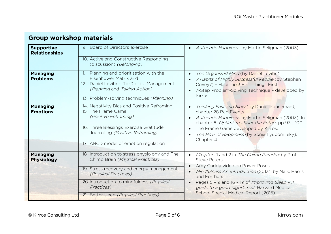| <b>Supportive</b><br><b>Relationships</b><br><b>Managing</b><br><b>Problems</b> | 9. Board of Directors exercise<br>10. Active and Constructive Responding<br>(discussion) (Belonging)<br>11. Planning and prioritisation with the<br>Eisenhower Matrix and<br>12. Daniel Levitin's To-Do List Management<br>(Planning and Taking Action)    | Authentic Happiness by Martin Seligman (2003)<br>The Organized Mind (by Daniel Levitin)<br>7 Habits of Highly Successful People (by Stephen<br>Covey7) - Habit no.3 First Things First.<br>7-Step Problem-Solving Technique - developed by<br>Kirros                                                                      |
|---------------------------------------------------------------------------------|------------------------------------------------------------------------------------------------------------------------------------------------------------------------------------------------------------------------------------------------------------|---------------------------------------------------------------------------------------------------------------------------------------------------------------------------------------------------------------------------------------------------------------------------------------------------------------------------|
|                                                                                 | 13. Problem-solving techniques (Planning)                                                                                                                                                                                                                  |                                                                                                                                                                                                                                                                                                                           |
| <b>Managing</b><br><b>Emotions</b>                                              | 14. Negativity Bias and Positive Reframing<br>15. The Frame Game<br>(Positive Reframing)<br>16. Three Blessings Exercise Gratitude<br>Journaling (Positive Reframing)<br>17. ABCD model of emotion regulation                                              | Thinking Fast and Slow (by Daniel Kahneman),<br>chapter 28 Bad Events.<br>Authentic Happiness by Martin Seligman (2003); In<br>chapter 6: Optimism about the Future pp 93 - 100.<br>The Frame Game developed by Kirros.<br>The How of Happiness (by Sonja Lyubomirsky).<br>Chapter 4.                                     |
| <b>Managing</b><br><b>Physiology</b>                                            | 18. Introduction to stress physiology and The<br>Chimp Brain (Physical Practices)<br>19. Stress recovery and energy management<br>(Physical Practices)<br>20. Introduction to mindfulness (Physical<br>Practices)<br>21. Better sleep (Physical Practices) | Chapters 1 and 2 in The Chimp Paradox by Prof<br><b>Steve Peters</b><br>Amy Cuddy video on Power Poses<br>Mindfulness An Introduction (2013), by Naik, Harris<br>and Forthun.<br>Pages 5 - 9 and 16 - 19 of Improving Sleep - A<br>guide to a good night's rest. Harvard Medical<br>School Special Medical Report (2015). |

# **Group workshop materials**